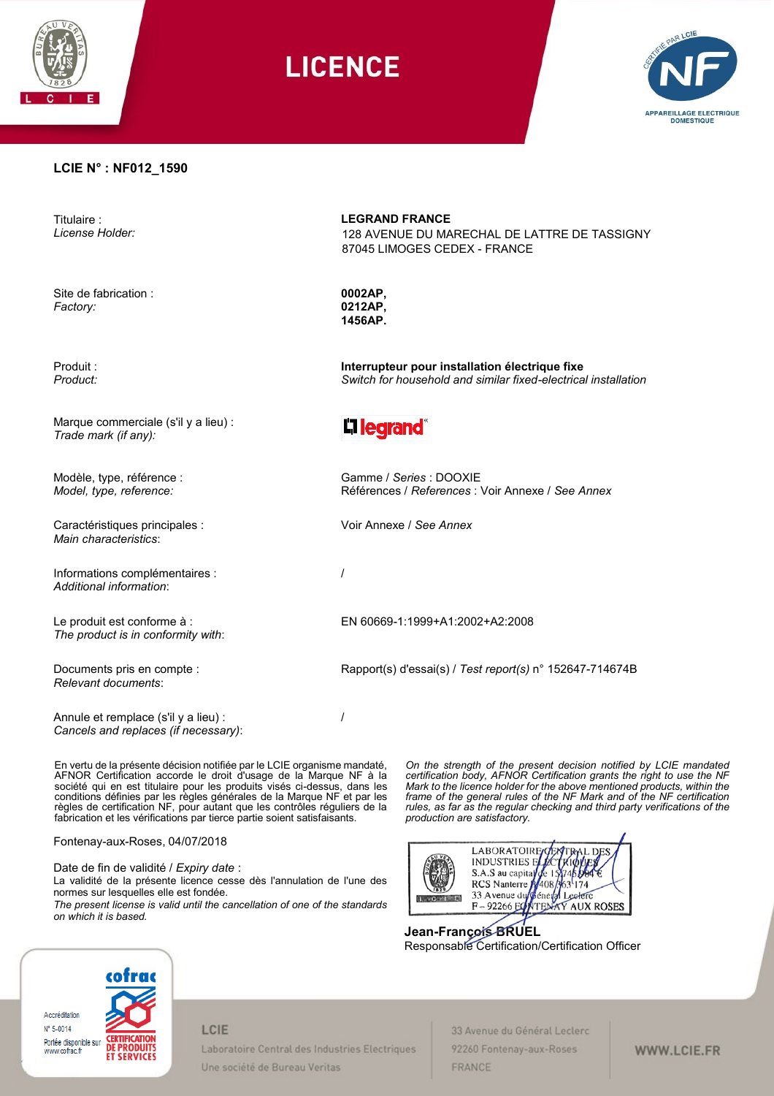

**LICENCE** 



### **LCIE N° : NF012\_1590**

Titulaire : *License Holder:*

Site de fabrication : *Factory:*

Produit : *Product:*

Marque commerciale (s'il y a lieu) : *Trade mark (if any):*

Modèle, type, référence : *Model, type, reference:*

Caractéristiques principales : *Main characteristics*:

Informations complémentaires : *Additional information*:

Le produit est conforme à : *The product is in conformity with*:

Documents pris en compte : *Relevant documents*:

Annule et remplace (s'il y a lieu) : *Cancels and replaces (if necessary)*:

En vertu de la présente décision notifiée par le LCIE organisme mandaté, AFNOR Certification accorde le droit d'usage de la Marque NF à la société qui en est titulaire pour les produits visés ci-dessus, dans les conditions définies par les règles générales de la Marque NF et par les règles de certification NF, pour autant que les contrôles réguliers de la fabrication et les vérifications par tierce partie soient satisfaisants.

Fontenay-aux-Roses, 04/07/2018

Date de fin de validité / *Expiry date* : La validité de la présente licence cesse dès l'annulation de l'une des normes sur lesquelles elle est fondée. *The present license is valid until the cancellation of one of the standards on which it is based.*

**LEGRAND FRANCE**

128 AVENUE DU MARECHAL DE LATTRE DE TASSIGNY 87045 LIMOGES CEDEX - FRANCE

**0002AP, 0212AP, 1456AP.**

**Interrupteur pour installation électrique fixe** *Switch for household and similar fixed-electrical installation*

# L1 legrand®

Gamme / *Series* : DOOXIE Références / *References* : Voir Annexe / *See Annex*

Voir Annexe / *See Annex*

/

/

EN 60669-1:1999+A1:2002+A2:2008

Rapport(s) d'essai(s) / *Test report(s)* n° 152647-714674B

*On the strength of the present decision notified by LCIE mandated certification body, AFNOR Certification grants the right to use the NF Mark to the licence holder for the above mentioned products, within the frame of the general rules of the NF Mark and of the NF certification rules, as far as the regular checking and third party verifications of the production are satisfactory.* 



**Jean-François BRUEL**  Responsable Certification/Certification Officer



#### LCIE

Laboratoire Central des Industries Electriques Une société de Bureau Veritas

33 Avenue du Général Leclerc 92260 Fontenay-aux-Roses FRANCE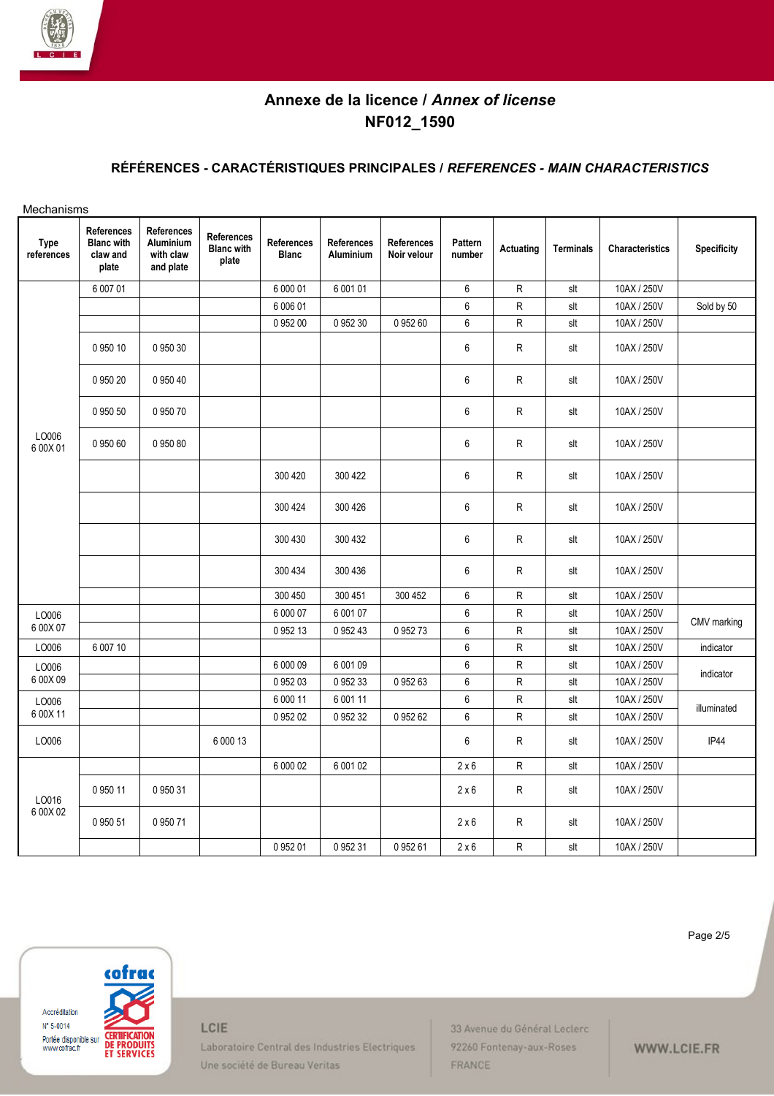

# **RÉFÉRENCES - CARACTÉRISTIQUES PRINCIPALES /** *REFERENCES - MAIN CHARACTERISTICS*

| Mechanisms                |                                                      |                                                   |                                                 |                            |                                |                                  |                   |              |                  |                        |                    |
|---------------------------|------------------------------------------------------|---------------------------------------------------|-------------------------------------------------|----------------------------|--------------------------------|----------------------------------|-------------------|--------------|------------------|------------------------|--------------------|
| <b>Type</b><br>references | References<br><b>Blanc</b> with<br>claw and<br>plate | References<br>Aluminium<br>with claw<br>and plate | <b>References</b><br><b>Blanc with</b><br>plate | References<br><b>Blanc</b> | <b>References</b><br>Aluminium | <b>References</b><br>Noir velour | Pattern<br>number | Actuating    | <b>Terminals</b> | <b>Characteristics</b> | <b>Specificity</b> |
|                           | 6 007 01                                             |                                                   |                                                 | 6 000 01                   | 6 001 01                       |                                  | 6                 | R            | slt              | 10AX / 250V            |                    |
|                           |                                                      |                                                   |                                                 | 6 006 01                   |                                |                                  | 6                 | ${\sf R}$    | slt              | 10AX / 250V            | Sold by 50         |
|                           |                                                      |                                                   |                                                 | 0 952 00                   | 0 952 30                       | 095260                           | $\,6\,$           | R            | slt              | 10AX / 250V            |                    |
|                           | 0 950 10                                             | 0 950 30                                          |                                                 |                            |                                |                                  | $\,6\,$           | R            | slt              | 10AX / 250V            |                    |
|                           | 0 950 20                                             | 0 950 40                                          |                                                 |                            |                                |                                  | 6                 | ${\sf R}$    | slt              | 10AX / 250V            |                    |
|                           | 0 950 50                                             | 0 950 70                                          |                                                 |                            |                                |                                  | 6                 | R            | slt              | 10AX / 250V            |                    |
| LO006<br>6 00X 01         | 095060                                               | 0 950 80                                          |                                                 |                            |                                |                                  | 6                 | $\mathsf{R}$ | slt              | 10AX / 250V            |                    |
|                           |                                                      |                                                   |                                                 | 300 420                    | 300 422                        |                                  | $\,6\,$           | ${\sf R}$    | slt              | 10AX / 250V            |                    |
|                           |                                                      |                                                   |                                                 | 300 424                    | 300 426                        |                                  | 6                 | ${\sf R}$    | slt              | 10AX / 250V            |                    |
|                           |                                                      |                                                   |                                                 | 300 430                    | 300 432                        |                                  | 6                 | $\mathsf{R}$ | slt              | 10AX / 250V            |                    |
|                           |                                                      |                                                   |                                                 | 300 434                    | 300 436                        |                                  | 6                 | $\mathsf{R}$ | slt              | 10AX / 250V            |                    |
|                           |                                                      |                                                   |                                                 | 300 450                    | 300 451                        | 300 452                          | 6                 | R            | slt              | 10AX / 250V            |                    |
| LO006                     |                                                      |                                                   |                                                 | 6 000 07                   | 6 001 07                       |                                  | $\,6\,$           | ${\sf R}$    | slt              | 10AX / 250V            | CMV marking        |
| 6 00X 07                  |                                                      |                                                   |                                                 | 0 952 13                   | 0 952 43                       | 095273                           | 6                 | $\mathsf{R}$ | slt              | 10AX / 250V            |                    |
| LO006                     | 6 007 10                                             |                                                   |                                                 |                            |                                |                                  | $\,6$             | ${\sf R}$    | slt              | 10AX / 250V            | indicator          |
| LO006                     |                                                      |                                                   |                                                 | 6 000 09                   | 6 001 09                       |                                  | 6                 | ${\sf R}$    | slt              | 10AX / 250V            | indicator          |
| 6 00X 09                  |                                                      |                                                   |                                                 | 095203                     | 095233                         | 095263                           | 6                 | ${\sf R}$    | slt              | 10AX / 250V            |                    |
| LO006                     |                                                      |                                                   |                                                 | 6 000 11                   | 6 001 11                       |                                  | $\,6\,$           | ${\sf R}$    | slt              | 10AX / 250V            | illuminated        |
| 6 00X 11                  |                                                      |                                                   |                                                 | 0 952 02                   | 0 952 32                       | 0 952 62                         | $\,6\,$           | ${\sf R}$    | slt              | 10AX / 250V            |                    |
| LO006                     |                                                      |                                                   | 6 000 13                                        |                            |                                |                                  | 6                 | ${\sf R}$    | slt              | 10AX / 250V            | IP44               |
|                           |                                                      |                                                   |                                                 | 6 000 02                   | 6 001 02                       |                                  | $2 \times 6$      | $\mathsf{R}$ | slt              | 10AX / 250V            |                    |
| LO016                     | 0 950 11                                             | 0 950 31                                          |                                                 |                            |                                |                                  | $2 \times 6$      | ${\sf R}$    | slt              | 10AX / 250V            |                    |
| 6 00X 02                  | 0 950 51                                             | 0 950 71                                          |                                                 |                            |                                |                                  | 2 × 6             | R            | slt              | 10AX / 250V            |                    |
|                           |                                                      |                                                   |                                                 | 0 952 01                   | 0 952 31                       | 095261                           | 2 × 6             | R            | slt              | 10AX / 250V            |                    |

Page 2/5



LCIE

Laboratoire Central des Industries Electriques Une société de Bureau Veritas

33 Avenue du Général Leclerc 92260 Fontenay-aux-Roses FRANCE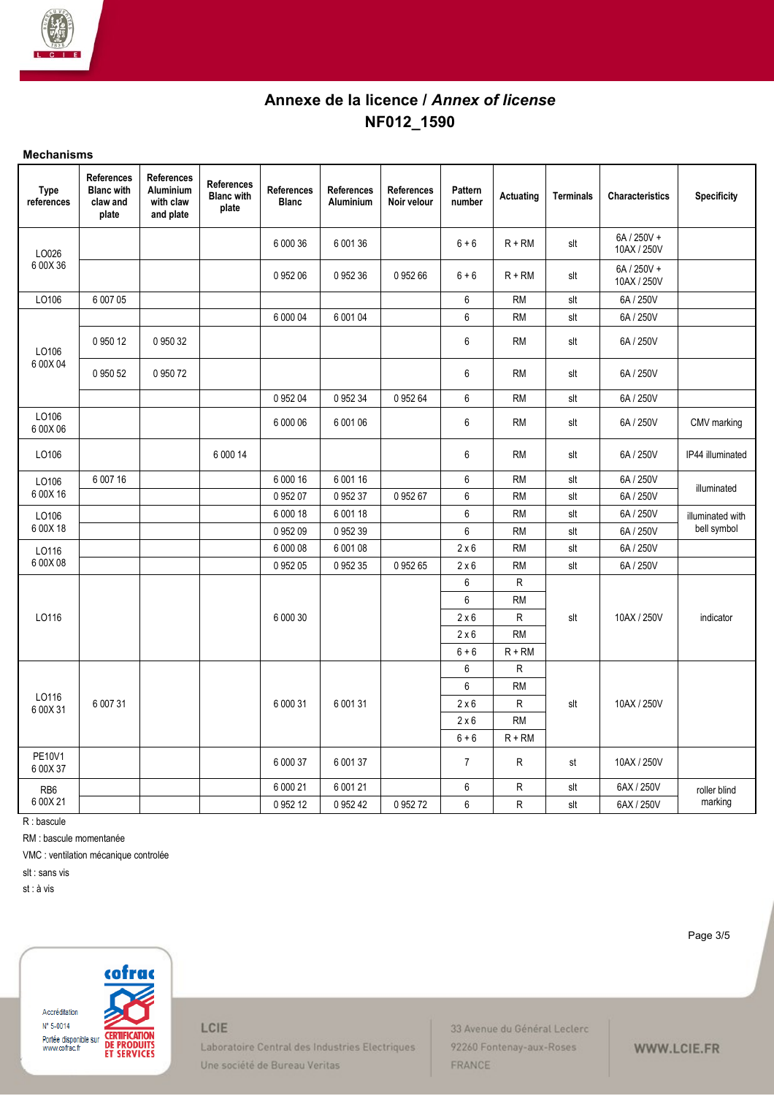

### **Mechanisms**

| <b>Type</b><br>references | <b>References</b><br><b>Blanc</b> with<br>claw and<br>plate | <b>References</b><br><b>Aluminium</b><br>with claw<br>and plate | <b>References</b><br><b>Blanc</b> with<br>plate | <b>References</b><br><b>Blanc</b> | <b>References</b><br>Aluminium | <b>References</b><br>Noir velour | Pattern<br>number | Actuating | <b>Terminals</b> | <b>Characteristics</b>     | <b>Specificity</b> |
|---------------------------|-------------------------------------------------------------|-----------------------------------------------------------------|-------------------------------------------------|-----------------------------------|--------------------------------|----------------------------------|-------------------|-----------|------------------|----------------------------|--------------------|
| LO026                     |                                                             |                                                                 |                                                 | 6 000 36                          | 6 001 36                       |                                  | $6 + 6$           | $R + RM$  | slt              | 6A / 250V +<br>10AX / 250V |                    |
| 6 00X 36                  |                                                             |                                                                 |                                                 | 0 952 06                          | 095236                         | 095266                           | $6 + 6$           | $R + RM$  | slt              | 6A / 250V +<br>10AX / 250V |                    |
| LO106                     | 6 007 05                                                    |                                                                 |                                                 |                                   |                                |                                  | 6                 | <b>RM</b> | slt              | 6A / 250V                  |                    |
|                           |                                                             |                                                                 |                                                 | 6 000 04                          | 6 001 04                       |                                  | $\boldsymbol{6}$  | <b>RM</b> | slt              | 6A / 250V                  |                    |
| LO106                     | 0 950 12                                                    | 0 950 32                                                        |                                                 |                                   |                                |                                  | 6                 | <b>RM</b> | slt              | 6A / 250V                  |                    |
| 6 00X 04                  | 0 950 52                                                    | 0 950 72                                                        |                                                 |                                   |                                |                                  | 6                 | <b>RM</b> | slt              | 6A / 250V                  |                    |
|                           |                                                             |                                                                 |                                                 | 0 952 04                          | 0 952 34                       | 0 952 64                         | $\,6\,$           | <b>RM</b> | slt              | 6A / 250V                  |                    |
| LO106<br>6 00X 06         |                                                             |                                                                 |                                                 | 6 000 06                          | 6 001 06                       |                                  | $\,6\,$           | <b>RM</b> | slt              | 6A / 250V                  | CMV marking        |
| LO106                     |                                                             |                                                                 | 6 000 14                                        |                                   |                                |                                  | 6                 | <b>RM</b> | slt              | 6A / 250V                  | IP44 illuminated   |
| LO106                     | 6 007 16                                                    |                                                                 |                                                 | 6 000 16                          | 6 001 16                       |                                  | $\,6\,$           | <b>RM</b> | slt              | 6A / 250V                  | illuminated        |
| 6 00X 16                  |                                                             |                                                                 |                                                 | 095207                            | 0 952 37                       | 0 952 67                         | $\,6\,$           | <b>RM</b> | slt              | 6A / 250V                  |                    |
| LO106                     |                                                             |                                                                 |                                                 | 6 000 18                          | 6 001 18                       |                                  | $\boldsymbol{6}$  | <b>RM</b> | slt              | 6A / 250V                  | illuminated with   |
| 6 00X 18                  |                                                             |                                                                 |                                                 | 095209                            | 0 952 39                       |                                  | 6                 | <b>RM</b> | slt              | 6A / 250V                  | bell symbol        |
| LO116                     |                                                             |                                                                 |                                                 | 6 000 08                          | 6 001 08                       |                                  | $2 \times 6$      | <b>RM</b> | slt              | 6A / 250V                  |                    |
| 6 00X 08                  |                                                             |                                                                 |                                                 | 0 952 05                          | 0 952 35                       | 0 952 65                         | $2 \times 6$      | <b>RM</b> | slt              | 6A / 250V                  |                    |
|                           |                                                             |                                                                 |                                                 |                                   |                                |                                  | 6                 | R         |                  |                            |                    |
|                           |                                                             |                                                                 |                                                 |                                   |                                |                                  | $\,6\,$           | <b>RM</b> |                  |                            |                    |
| LO116                     |                                                             |                                                                 |                                                 | 6 000 30                          |                                |                                  | 2 × 6             | R         | slt              | 10AX / 250V                | indicator          |
|                           |                                                             |                                                                 |                                                 |                                   |                                |                                  | 2 × 6             | <b>RM</b> |                  |                            |                    |
|                           |                                                             |                                                                 |                                                 |                                   |                                |                                  | $6 + 6$           | $R + RM$  |                  |                            |                    |
|                           |                                                             |                                                                 |                                                 |                                   |                                |                                  | 6                 | R         |                  |                            |                    |
| LO116                     |                                                             |                                                                 |                                                 |                                   |                                |                                  | 6                 | <b>RM</b> |                  |                            |                    |
| 6 00X 31                  | 6 007 31                                                    |                                                                 |                                                 | 6 000 31                          | 6 001 31                       |                                  | 2 × 6             | R         | slt              | 10AX / 250V                |                    |
|                           |                                                             |                                                                 |                                                 |                                   |                                |                                  | $2 \times 6$      | <b>RM</b> |                  |                            |                    |
|                           |                                                             |                                                                 |                                                 |                                   |                                |                                  | $6 + 6$           | $R + RM$  |                  |                            |                    |
| PE10V1<br>6 00X 37        |                                                             |                                                                 |                                                 | 6 000 37                          | 6 001 37                       |                                  | $\overline{7}$    | ${\sf R}$ | st               | 10AX / 250V                |                    |
| RB <sub>6</sub>           |                                                             |                                                                 |                                                 | 6 000 21                          | 6 001 21                       |                                  | 6                 | ${\sf R}$ | slt              | 6AX / 250V                 | roller blind       |
| 6 00X 21                  |                                                             |                                                                 |                                                 | 0 952 12                          | 0 952 42                       | 0 952 72                         | 6                 | R         | slt              | 6AX / 250V                 | marking            |

R : bascule

RM : bascule momentanée

VMC : ventilation mécanique controlée

slt : sans vis

st : à vis

cofrac Accréditation  $N^{\circ}$  5-0014 **CERTIFICATION<br>DE PRODUITS<br>ET SERVICES** Portée disponible sur<br>www.cofrac.fr

LCIE

Laboratoire Central des Industries Electriques Une société de Bureau Veritas

33 Avenue du Général Leclerc 92260 Fontenay-aux-Roses FRANCE

Page 3/5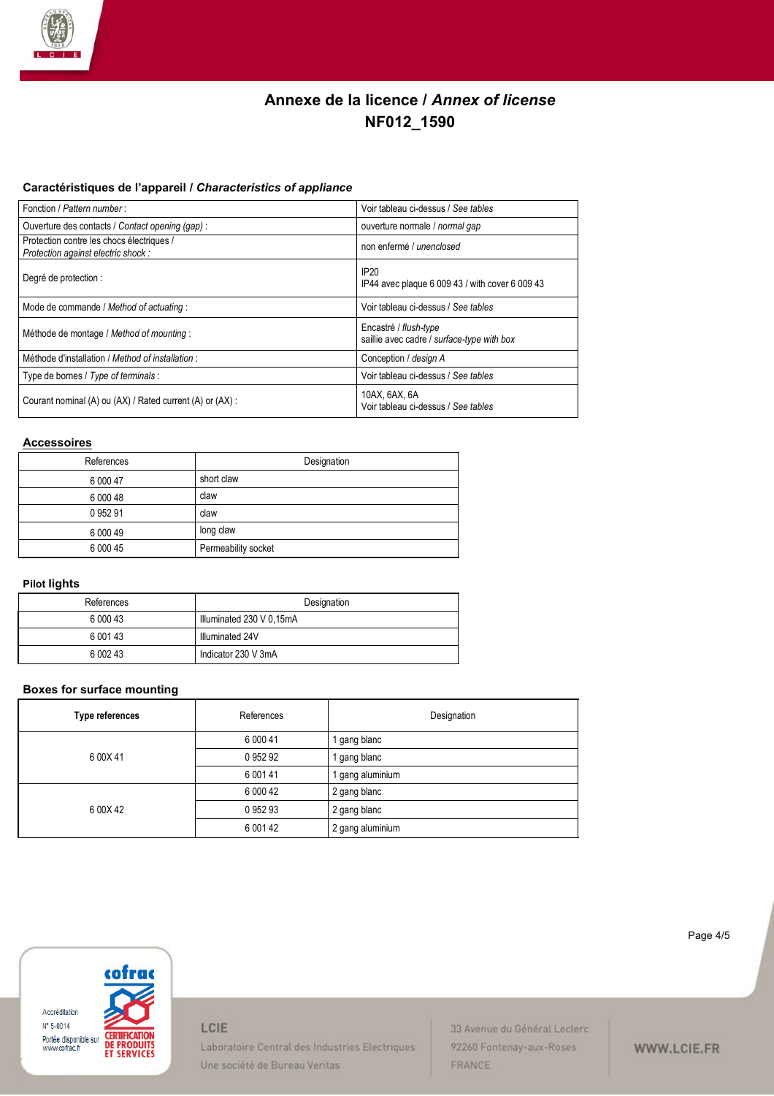

## **Caractéristiques de l'appareil /** *Characteristics of appliance*

| Fonction / Pattern number:                                                      | Voir tableau ci-dessus / See tables                                 |  |  |  |
|---------------------------------------------------------------------------------|---------------------------------------------------------------------|--|--|--|
| Ouverture des contacts / Contact opening (gap) :                                | ouverture normale / normal gap                                      |  |  |  |
| Protection contre les chocs électriques /<br>Protection against electric shock: | non enfermé / unenclosed                                            |  |  |  |
| Degré de protection :                                                           | IP20<br>IP44 avec plaque 6 009 43 / with cover 6 009 43             |  |  |  |
| Mode de commande / Method of actuating :                                        | Voir tableau ci-dessus / See tables                                 |  |  |  |
| Méthode de montage / Method of mounting :                                       | Encastré / flush-type<br>saillie avec cadre / surface-type with box |  |  |  |
| Méthode d'installation / Method of installation :                               | Conception / design A                                               |  |  |  |
| Type de bornes / Type of terminals :                                            | Voir tableau ci-dessus / See tables                                 |  |  |  |
| Courant nominal (A) ou (AX) / Rated current (A) or (AX) :                       | 10AX, 6AX, 6A<br>Voir tableau ci-dessus / See tables                |  |  |  |

### **Accessoires**

| References | Designation         |
|------------|---------------------|
| 6 000 47   | short claw          |
| 6 000 48   | claw                |
| 0 952 91   | claw                |
| 6 000 49   | long claw           |
| 6 000 45   | Permeability socket |

## **Pilot lights**

| References | Designation              |
|------------|--------------------------|
| 6 000 43   | Illuminated 230 V 0.15mA |
| 6 001 43   | Illuminated 24V          |
| 6 002 43   | Indicator 230 V 3mA      |

#### **Boxes for surface mounting**

| Type references | References | Designation      |
|-----------------|------------|------------------|
|                 | 6 000 41   | I gang blanc     |
| 6 00X41         | 0 952 92   | 1 gang blanc     |
|                 | 6 001 41   | 1 gang aluminium |
|                 | 6 000 42   | 2 gang blanc     |
| 6 00X42         | 095293     | 2 gang blanc     |
|                 | 6 001 42   | 2 gang aluminium |



LCIE

Laboratoire Central des Industries Electriques Une société de Bureau Veritas

33 Avenue du Général Leclerc 92260 Fontenay-aux-Roses FRANCE

#### Page 4/5